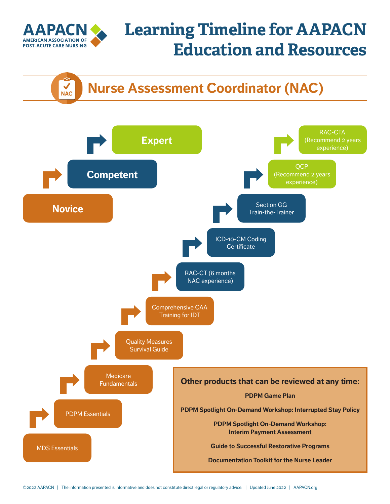

**NAC** 

# **Learning Timeline for AAPACN Education and Resources**

#### **Nurse Assessment Coordinator (NAC)**

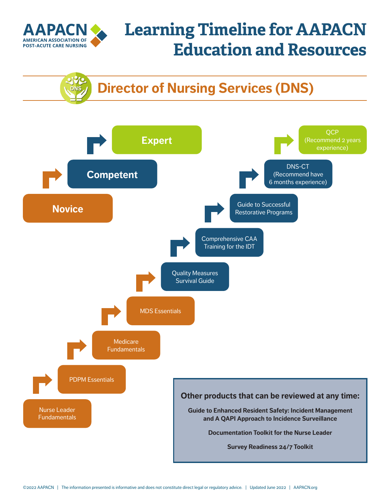

# **Learning Timeline for AAPACN Education and Resources**

### **Director of Nursing Services (DNS)**

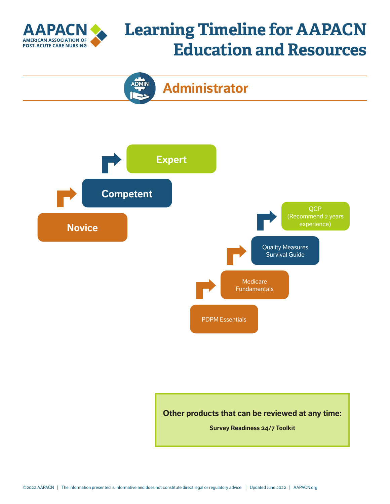

### **Learning Timeline for AAPACN Education and Resources**



**Administrator**

**ADMIN** 

**Other products that can be reviewed at any time:**

**[Survey Readiness 24/7 Toolkit](https://www.aapacn.org/products/survey-readiness-toolkit/)**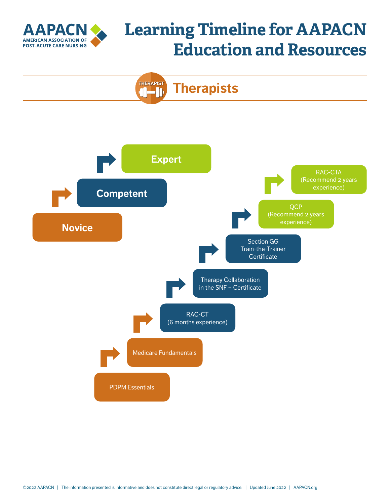

# **Learning Timeline for AAPACN Education and Resources**



**Therapists**

**THERAPIST** J.